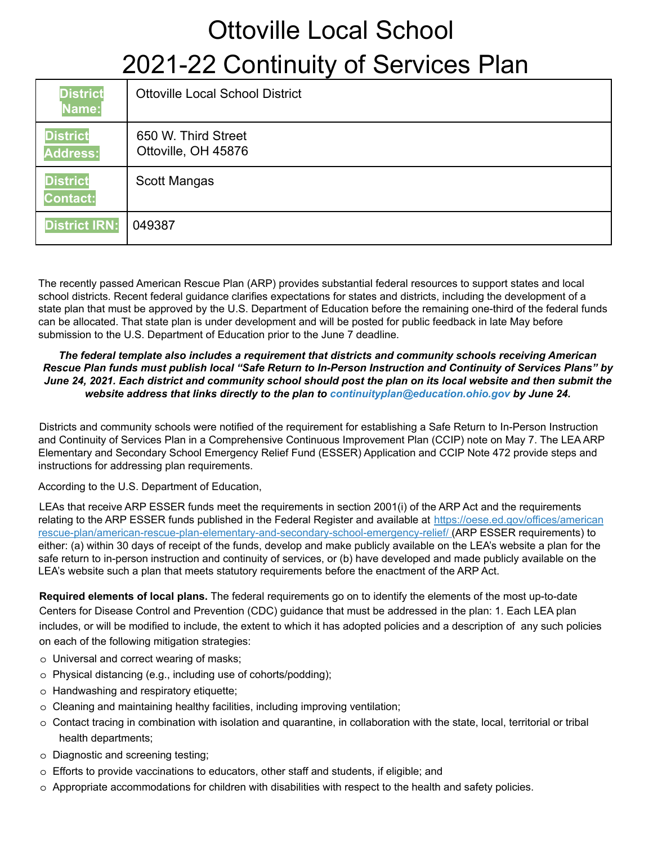| <b>District</b><br>Name:           | <b>Ottoville Local School District</b>     |
|------------------------------------|--------------------------------------------|
| <b>District</b><br><b>Address:</b> | 650 W. Third Street<br>Ottoville, OH 45876 |
| <b>District</b><br><b>Contact:</b> | Scott Mangas                               |
| <b>District IRN:</b>               | 049387                                     |

The recently passed American Rescue Plan (ARP) provides substantial federal resources to support states and local school districts. Recent federal guidance clarifies expectations for states and districts, including the development of a state plan that must be approved by the U.S. Department of Education before the remaining one-third of the federal funds can be allocated. That state plan is under development and will be posted for public feedback in late May before submission to the U.S. Department of Education prior to the June 7 deadline.

#### *The federal template also includes a requirement that districts and community schools receiving American* Rescue Plan funds must publish local "Safe Return to In-Person Instruction and Continuity of Services Plans" by June 24, 2021. Each district and community school should post the plan on its local website and then submit the *website address that links directly to the plan to continuityplan@education.ohio.gov by June 24.*

Districts and community schools were notified of the requirement for establishing a Safe Return to In-Person Instruction and Continuity of Services Plan in a Comprehensive Continuous Improvement Plan (CCIP) note on May 7. The LEA ARP Elementary and Secondary School Emergency Relief Fund (ESSER) Application and CCIP Note 472 provide steps and instructions for addressing plan requirements.

According to the U.S. Department of Education,

LEAs that receive ARP ESSER funds meet the requirements in section 2001(i) of the ARP Act and the requirements relating to the ARP ESSER funds published in the Federal Register and available at https://oese.ed.gov/offices/american rescue-plan/american-rescue-plan-elementary-and-secondary-school-emergency-relief/ (ARP ESSER requirements) to either: (a) within 30 days of receipt of the funds, develop and make publicly available on the LEA's website a plan for the safe return to in-person instruction and continuity of services, or (b) have developed and made publicly available on the LEA's website such a plan that meets statutory requirements before the enactment of the ARP Act.

**Required elements of local plans.** The federal requirements go on to identify the elements of the most up-to-date Centers for Disease Control and Prevention (CDC) guidance that must be addressed in the plan: 1. Each LEA plan includes, or will be modified to include, the extent to which it has adopted policies and a description of any such policies on each of the following mitigation strategies:

- o Universal and correct wearing of masks;
- o Physical distancing (e.g., including use of cohorts/podding);
- o Handwashing and respiratory etiquette;
- o Cleaning and maintaining healthy facilities, including improving ventilation;
- o Contact tracing in combination with isolation and quarantine, in collaboration with the state, local, territorial or tribal health departments;
- o Diagnostic and screening testing;
- o Efforts to provide vaccinations to educators, other staff and students, if eligible; and
- o Appropriate accommodations for children with disabilities with respect to the health and safety policies.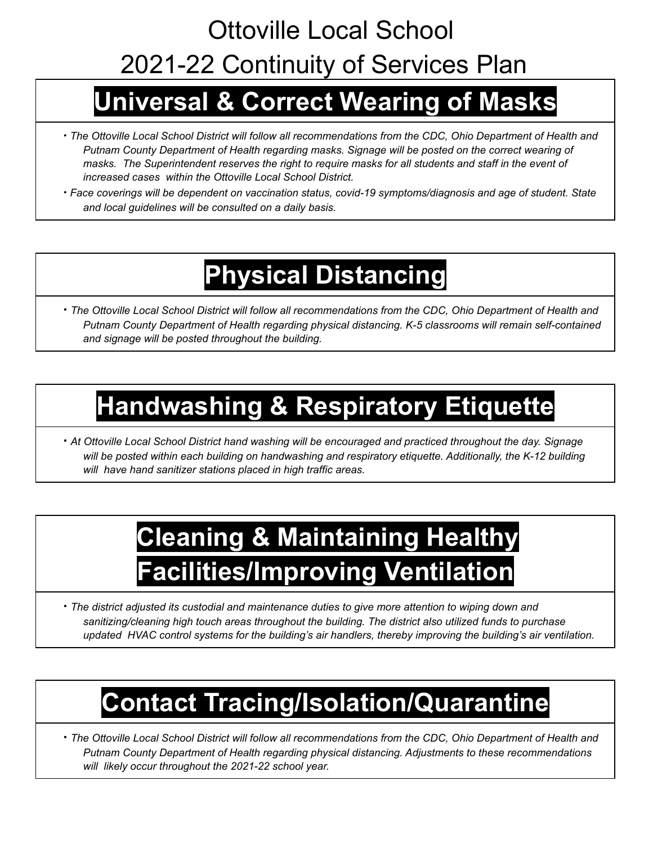## **Universal & Correct Wearing of Masks**

- The Ottoville Local School District will follow all recommendations from the CDC, Ohio Department of Health and *Putnam County Department of Health regarding masks. Signage will be posted on the correct wearing of* masks. The Superintendent reserves the right to require masks for all students and staff in the event of *increased cases within the Ottoville Local School District.*
- ∙ *Face coverings will be dependent on vaccination status, covid-19 symptoms/diagnosis and age of student. State and local guidelines will be consulted on a daily basis.*

# **Physical Distancing**

• The Ottoville Local School District will follow all recommendations from the CDC, Ohio Department of Health and *Putnam County Department of Health regarding physical distancing. K-5 classrooms will remain self-contained and signage will be posted throughout the building.*

# **Handwashing & Respiratory Etiquette**

∙ *At Ottoville Local School District hand washing will be encouraged and practiced throughout the day. Signage will be posted within each building on handwashing and respiratory etiquette. Additionally, the K-12 building will have hand sanitizer stations placed in high traffic areas.*

# **Cleaning & Maintaining Healthy Facilities/Improving Ventilation**

∙ *The district adjusted its custodial and maintenance duties to give more attention to wiping down and sanitizing/cleaning high touch areas throughout the building. The district also utilized funds to purchase updated HVAC control systems for the building's air handlers, thereby improving the building's air ventilation.*

# **Contact Tracing/Isolation/Quarantine**

• The Ottoville Local School District will follow all recommendations from the CDC, Ohio Department of Health and *Putnam County Department of Health regarding physical distancing. Adjustments to these recommendations will likely occur throughout the 2021-22 school year.*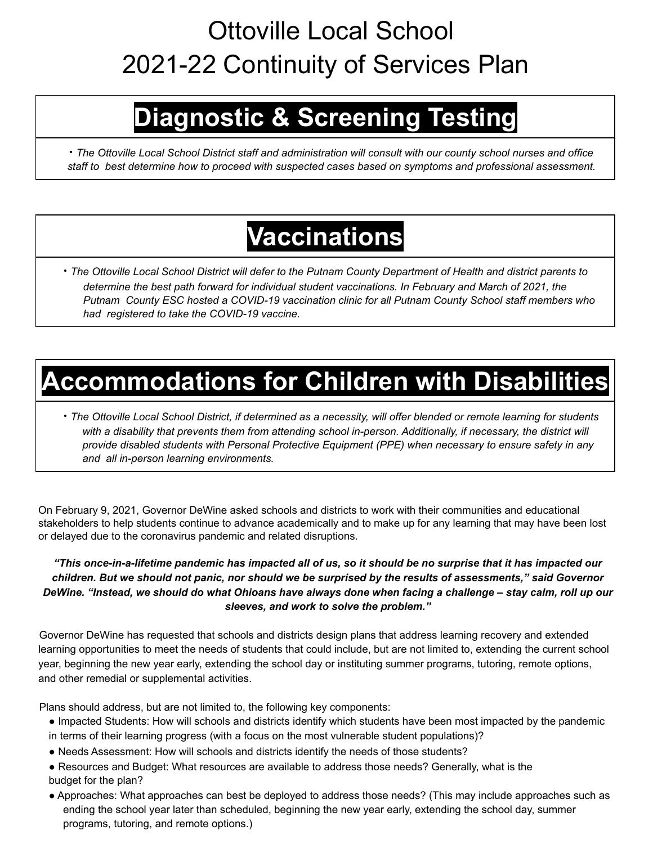# **Diagnostic & Screening Testing**

· The Ottoville Local School District staff and administration will consult with our county school nurses and office *staff to best determine how to proceed with suspected cases based on symptoms and professional assessment.*

## **Vaccinations**

• The Ottoville Local School District will defer to the Putnam County Department of Health and district parents to *determine the best path forward for individual student vaccinations. In February and March of 2021, the Putnam County ESC hosted a COVID-19 vaccination clinic for all Putnam County School staff members who had registered to take the COVID-19 vaccine.*

### **Accommodations for Children with Disabilities**

• The Ottoville Local School District, if determined as a necessity, will offer blended or remote learning for students with a disability that prevents them from attending school in-person. Additionally, if necessary, the district will *provide disabled students with Personal Protective Equipment (PPE) when necessary to ensure safety in any and all in-person learning environments.*

On February 9, 2021, Governor DeWine asked schools and districts to work with their communities and educational stakeholders to help students continue to advance academically and to make up for any learning that may have been lost or delayed due to the coronavirus pandemic and related disruptions.

#### "This once-in-a-lifetime pandemic has impacted all of us, so it should be no surprise that it has impacted our children. But we should not panic, nor should we be surprised by the results of assessments," said Governor DeWine. "Instead, we should do what Ohioans have always done when facing a challenge - stay calm, roll up our *sleeves, and work to solve the problem."*

Governor DeWine has requested that schools and districts design plans that address learning recovery and extended learning opportunities to meet the needs of students that could include, but are not limited to, extending the current school year, beginning the new year early, extending the school day or instituting summer programs, tutoring, remote options, and other remedial or supplemental activities.

Plans should address, but are not limited to, the following key components:

- Impacted Students: How will schools and districts identify which students have been most impacted by the pandemic
- in terms of their learning progress (with a focus on the most vulnerable student populations)?
- Needs Assessment: How will schools and districts identify the needs of those students?
- Resources and Budget: What resources are available to address those needs? Generally, what is the budget for the plan?
- Approaches: What approaches can best be deployed to address those needs? (This may include approaches such as ending the school year later than scheduled, beginning the new year early, extending the school day, summer programs, tutoring, and remote options.)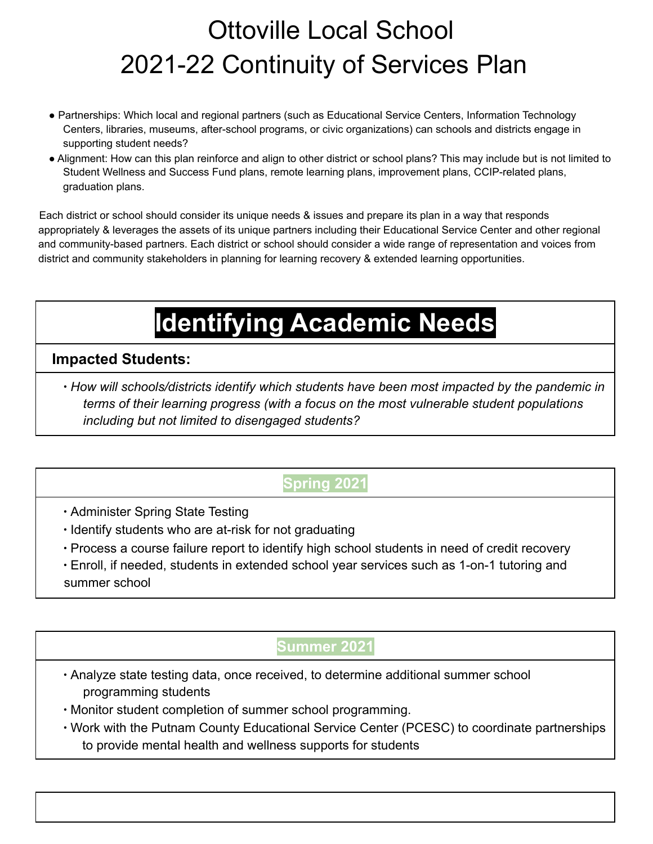- Partnerships: Which local and regional partners (such as Educational Service Centers, Information Technology Centers, libraries, museums, after-school programs, or civic organizations) can schools and districts engage in supporting student needs?
- Alignment: How can this plan reinforce and align to other district or school plans? This may include but is not limited to Student Wellness and Success Fund plans, remote learning plans, improvement plans, CCIP-related plans, graduation plans.

Each district or school should consider its unique needs & issues and prepare its plan in a way that responds appropriately & leverages the assets of its unique partners including their Educational Service Center and other regional and community-based partners. Each district or school should consider a wide range of representation and voices from district and community stakeholders in planning for learning recovery & extended learning opportunities.

# **Identifying Academic Needs**

#### **Impacted Students:**

∙ *How will schools/districts identify which students have been most impacted by the pandemic in terms of their learning progress (with a focus on the most vulnerable student populations including but not limited to disengaged students?*

### **Spring 2021**

- ∙ Administer Spring State Testing
- ∙ Identify students who are at-risk for not graduating
- ∙ Process a course failure report to identify high school students in need of credit recovery
- ∙ Enroll, if needed, students in extended school year services such as 1-on-1 tutoring and summer school

### **Summer 2021**

- ∙ Analyze state testing data, once received, to determine additional summer school programming students
- ∙ Monitor student completion of summer school programming.
- ∙ Work with the Putnam County Educational Service Center (PCESC) to coordinate partnerships to provide mental health and wellness supports for students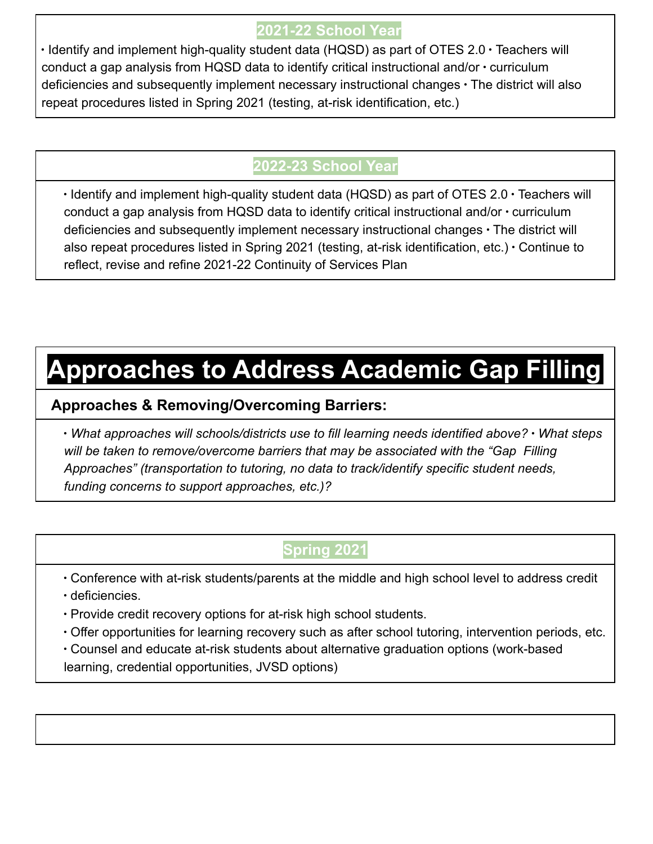### **2021-22 School Year**

∙ Identify and implement high-quality student data (HQSD) as part of OTES 2.0 ∙ Teachers will conduct a gap analysis from HQSD data to identify critical instructional and/or ∙ curriculum deficiencies and subsequently implement necessary instructional changes ∙ The district will also repeat procedures listed in Spring 2021 (testing, at-risk identification, etc.)

### **2022-23 School Year**

∙ Identify and implement high-quality student data (HQSD) as part of OTES 2.0 ∙ Teachers will conduct a gap analysis from HQSD data to identify critical instructional and/or ∙ curriculum deficiencies and subsequently implement necessary instructional changes ∙ The district will also repeat procedures listed in Spring 2021 (testing, at-risk identification, etc.) ∙ Continue to reflect, revise and refine 2021-22 Continuity of Services Plan

### **Approaches to Address Academic Gap Filling**

#### **Approaches & Removing/Overcoming Barriers:**

∙ *What approaches will schools/districts use to fill learning needs identified above?* ∙ *What steps will be taken to remove/overcome barriers that may be associated with the "Gap Filling Approaches" (transportation to tutoring, no data to track/identify specific student needs, funding concerns to support approaches, etc.)?*

### **Spring 2021**

∙ Conference with at-risk students/parents at the middle and high school level to address credit

- ∙ deficiencies.
- ∙ Provide credit recovery options for at-risk high school students.
- ∙ Offer opportunities for learning recovery such as after school tutoring, intervention periods, etc.
- ∙ Counsel and educate at-risk students about alternative graduation options (work-based

learning, credential opportunities, JVSD options)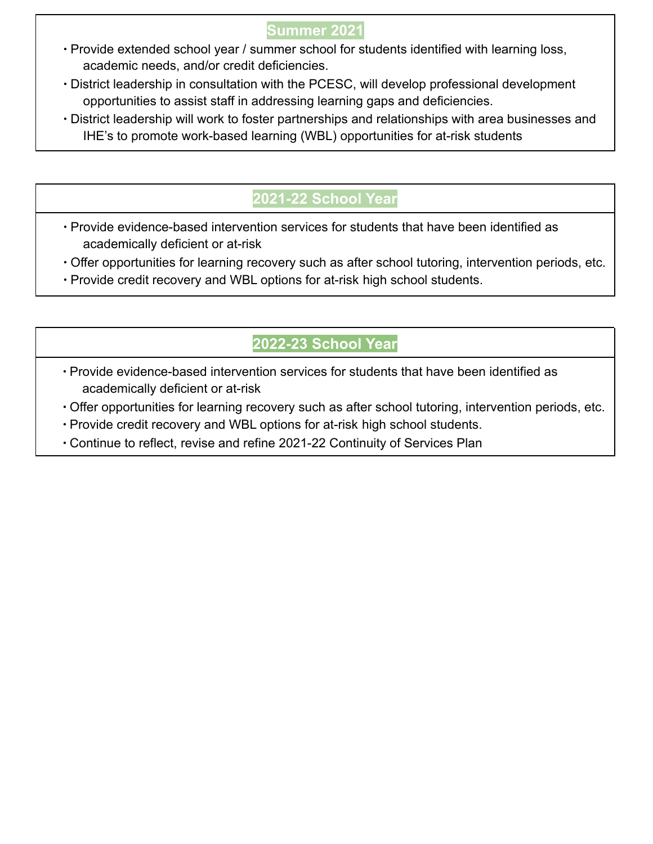#### **Summer 2021**

- ∙ Provide extended school year / summer school for students identified with learning loss, academic needs, and/or credit deficiencies.
- ∙ District leadership in consultation with the PCESC, will develop professional development opportunities to assist staff in addressing learning gaps and deficiencies.
- ∙ District leadership will work to foster partnerships and relationships with area businesses and IHE's to promote work-based learning (WBL) opportunities for at-risk students

### **2021-22 School Year**

- ∙ Provide evidence-based intervention services for students that have been identified as academically deficient or at-risk
- ∙ Offer opportunities for learning recovery such as after school tutoring, intervention periods, etc.
- ∙ Provide credit recovery and WBL options for at-risk high school students.

### **2022-23 School Year**

- ∙ Provide evidence-based intervention services for students that have been identified as academically deficient or at-risk
- ∙ Offer opportunities for learning recovery such as after school tutoring, intervention periods, etc.
- ∙ Provide credit recovery and WBL options for at-risk high school students.
- ∙ Continue to reflect, revise and refine 2021-22 Continuity of Services Plan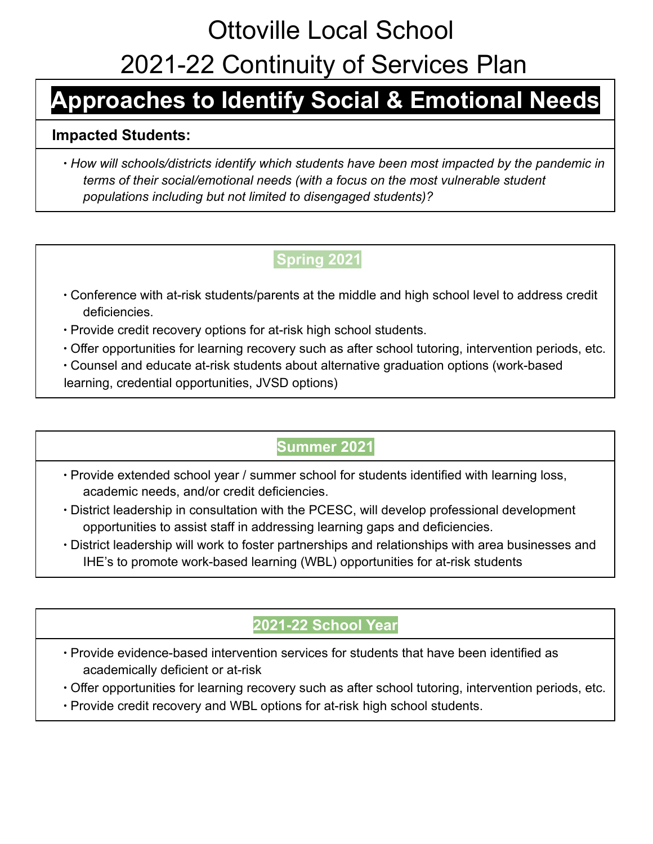### **Approaches to Identify Social & Emotional Needs**

#### **Impacted Students:**

∙ *How will schools/districts identify which students have been most impacted by the pandemic in terms of their social/emotional needs (with a focus on the most vulnerable student populations including but not limited to disengaged students)?*

### **Spring 2021**

- ∙ Conference with at-risk students/parents at the middle and high school level to address credit deficiencies.
- ∙ Provide credit recovery options for at-risk high school students.
- ∙ Offer opportunities for learning recovery such as after school tutoring, intervention periods, etc.
- ∙ Counsel and educate at-risk students about alternative graduation options (work-based learning, credential opportunities, JVSD options)

### **Summer 2021**

- ∙ Provide extended school year / summer school for students identified with learning loss, academic needs, and/or credit deficiencies.
- ∙ District leadership in consultation with the PCESC, will develop professional development opportunities to assist staff in addressing learning gaps and deficiencies.
- ∙ District leadership will work to foster partnerships and relationships with area businesses and IHE's to promote work-based learning (WBL) opportunities for at-risk students

### **2021-22 School Year**

- ∙ Provide evidence-based intervention services for students that have been identified as academically deficient or at-risk
- ∙ Offer opportunities for learning recovery such as after school tutoring, intervention periods, etc.
- ∙ Provide credit recovery and WBL options for at-risk high school students.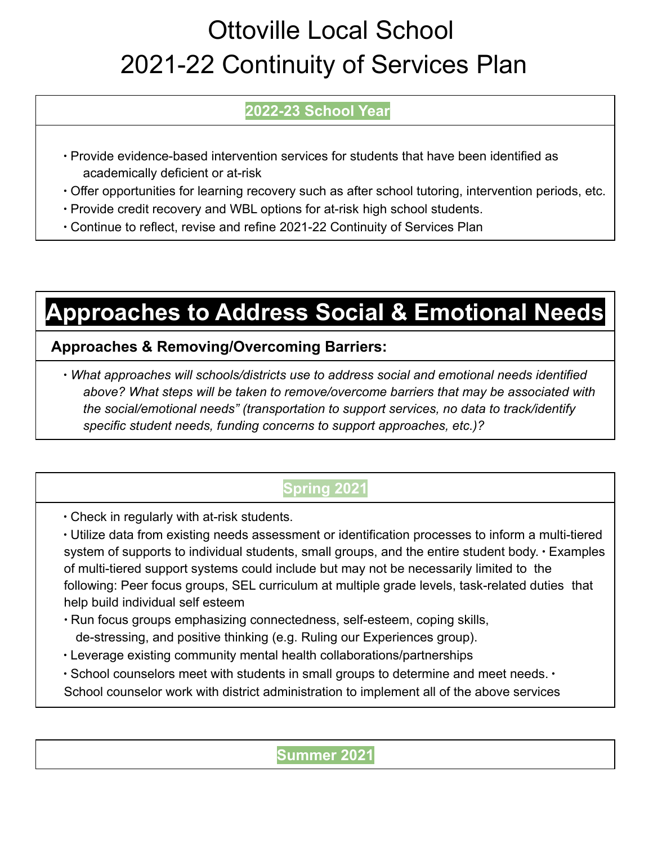### **2022-23 School Year**

- ∙ Provide evidence-based intervention services for students that have been identified as academically deficient or at-risk
- ∙ Offer opportunities for learning recovery such as after school tutoring, intervention periods, etc.
- ∙ Provide credit recovery and WBL options for at-risk high school students.
- ∙ Continue to reflect, revise and refine 2021-22 Continuity of Services Plan

### **Approaches to Address Social & Emotional Needs**

### **Approaches & Removing/Overcoming Barriers:**

∙ *What approaches will schools/districts use to address social and emotional needs identified above? What steps will be taken to remove/overcome barriers that may be associated with the social/emotional needs" (transportation to support services, no data to track/identify specific student needs, funding concerns to support approaches, etc.)?*

### **Spring 2021**

∙ Check in regularly with at-risk students.

∙ Utilize data from existing needs assessment or identification processes to inform a multi-tiered system of supports to individual students, small groups, and the entire student body. ∙ Examples of multi-tiered support systems could include but may not be necessarily limited to the following: Peer focus groups, SEL curriculum at multiple grade levels, task-related duties that help build individual self esteem

- ∙ Run focus groups emphasizing connectedness, self-esteem, coping skills, de-stressing, and positive thinking (e.g. Ruling our Experiences group).
- ∙ Leverage existing community mental health collaborations/partnerships
- ∙ School counselors meet with students in small groups to determine and meet needs. ∙ School counselor work with district administration to implement all of the above services

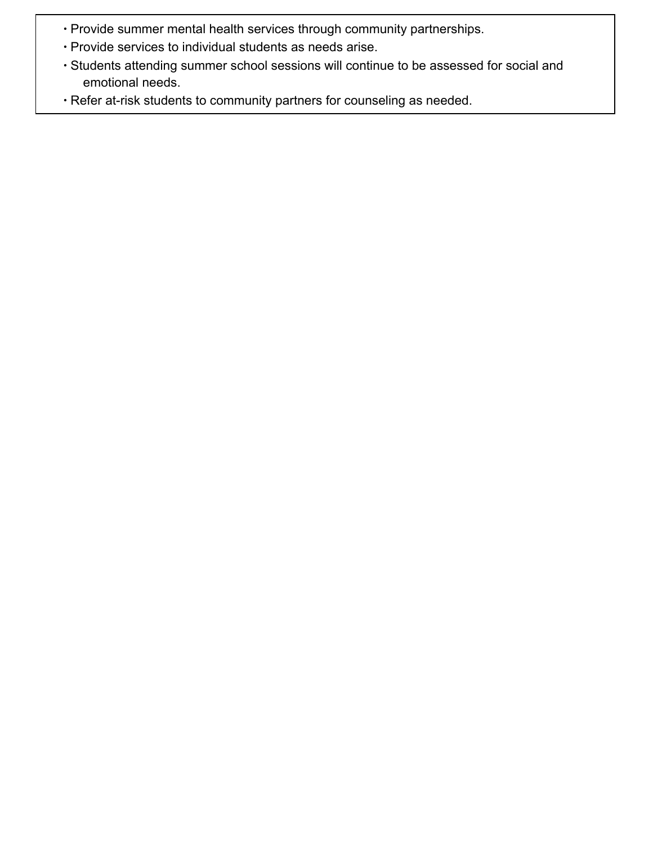- ∙ Provide summer mental health services through community partnerships.
- ∙ Provide services to individual students as needs arise.
- ∙ Students attending summer school sessions will continue to be assessed for social and emotional needs.
- ∙ Refer at-risk students to community partners for counseling as needed.